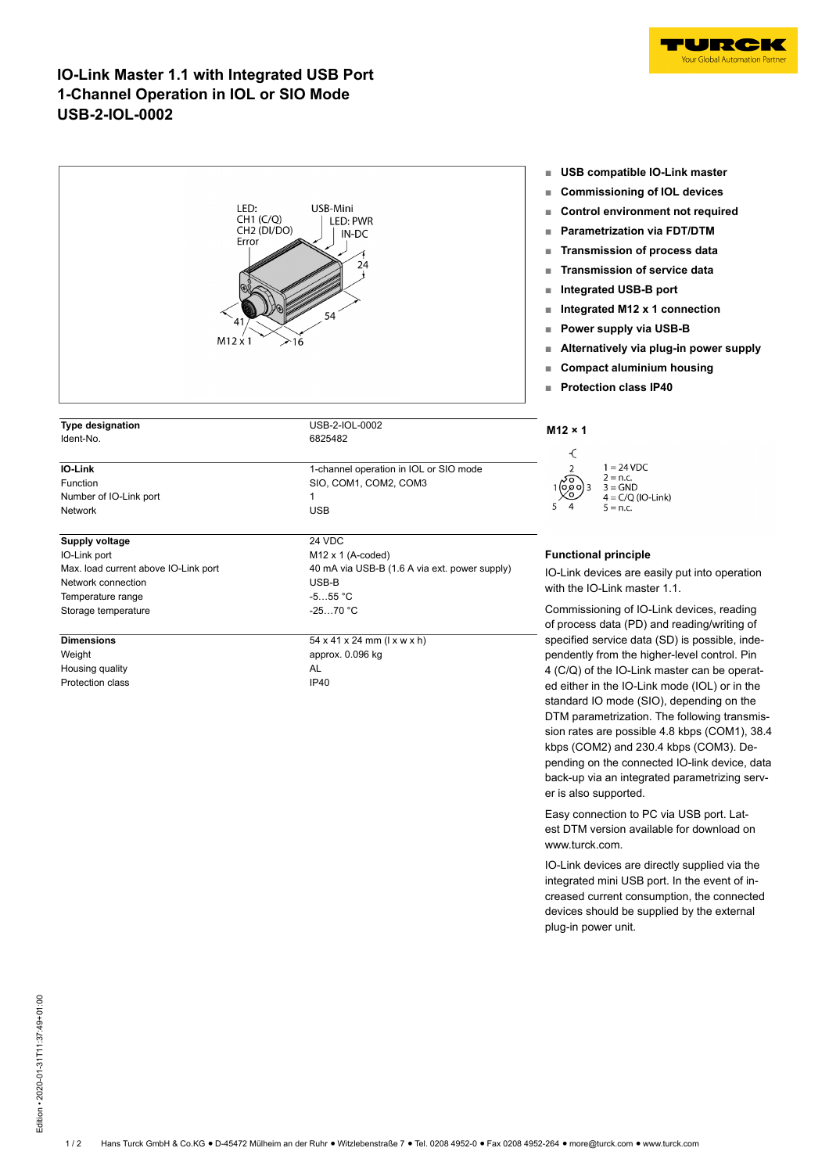

## **IO-Link Master 1.1 with Integrated USB Port 1-Channel Operation in IOL or SIO Mode USB-2-IOL-0002**

| LED:<br>CH1 (C/Q)<br>CH <sub>2</sub> (DI/DO)<br>Error<br>41<br>$M12 \times 1$ | USB-Mini<br>LED: PWR<br>IN-DC<br>24<br>54<br>$\geq$ 16 | uəb<br>Com<br>п<br>Cont<br>ш<br>Para<br>п<br><b>Trans</b><br><b>Trans</b><br>Integ<br>ш<br>Integ<br>Powe<br>Alter<br>Com<br>Prote<br>ш |
|-------------------------------------------------------------------------------|--------------------------------------------------------|----------------------------------------------------------------------------------------------------------------------------------------|
| <b>Type designation</b>                                                       | USB-2-IOL-0002                                         |                                                                                                                                        |
| Ident-No.                                                                     | 6825482                                                | $M12 \times 1$<br>€                                                                                                                    |
| IO-Link                                                                       | 1-channel operation in IOL or SIO mode                 |                                                                                                                                        |
| Function                                                                      | SIO, COM1, COM2, COM3                                  |                                                                                                                                        |
| Number of IO-Link port<br>Network                                             | 1<br><b>USB</b>                                        |                                                                                                                                        |
|                                                                               |                                                        |                                                                                                                                        |
| <b>Supply voltage</b>                                                         | 24 VDC                                                 |                                                                                                                                        |
| IO-Link port                                                                  | M12 x 1 (A-coded)                                      | <b>Function</b>                                                                                                                        |
| Max. load current above IO-Link port                                          | 40 mA via USB-B (1.6 A via ext. power supply)          | IO-Link o                                                                                                                              |
| Network connection                                                            | USB-B                                                  | with the                                                                                                                               |
| Temperature range                                                             | $-555 °C$                                              |                                                                                                                                        |
| Storage temperature                                                           | $-2570 °C$                                             | <b>Commis</b><br>of proces                                                                                                             |
| <b>Dimensions</b>                                                             | 54 x 41 x 24 mm (l x w x h)                            | specified                                                                                                                              |
| Weight                                                                        | approx. 0.096 kg                                       | pendentl                                                                                                                               |
| Housing quality                                                               | <b>AL</b>                                              | 4 (C/Q) o                                                                                                                              |
| Protection class                                                              | IP40                                                   | ed either                                                                                                                              |

- **■ USB compatible IO-Link master**
- **■ Commissioning of IOL devices**
- **■ Control environment not required**
- **■ Parametrization via FDT/DTM**
- **■ Transmission of process data**
- **■ Transmission of service data**
- **■ Integrated USB-B port**
- **■ Integrated M12 x 1 connection**
- **■ Power supply via USB-B**
- **■ Alternatively via plug-in power supply**
- **■ Compact aluminium housing**
- **■ Protection class IP40**



### **nal principle**

devices are easily put into operation IO-Link master 1.1.

sioning of IO-Link devices, reading ss data (PD) and reading/writing of d service data (SD) is possible, indely from the higher-level control. Pin of the IO-Link master can be operatr in the IO-Link mode (IOL) or in the standard IO mode (SIO), depending on the DTM parametrization. The following transmission rates are possible 4.8 kbps (COM1), 38.4 kbps (COM2) and 230.4 kbps (COM3). Depending on the connected IO-link device, data back-up via an integrated parametrizing server is also supported.

Easy connection to PC via USB port. Latest DTM version available for download on www.turck.com.

IO-Link devices are directly supplied via the integrated mini USB port. In the event of increased current consumption, the connected devices should be supplied by the external plug-in power unit.